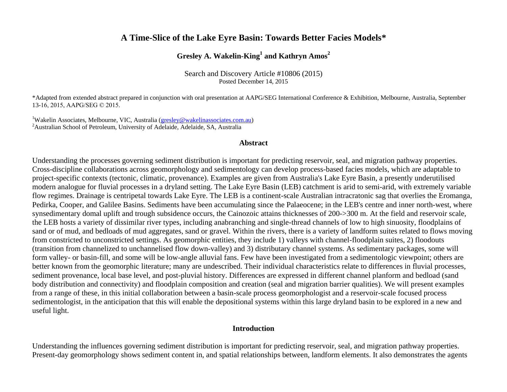# **A Time-Slice of the Lake Eyre Basin: Towards Better Facies Models\***

# **Gresley A. Wakelin-King<sup>1</sup> and Kathryn Amos<sup>2</sup>**

Search and Discovery Article #10806 (2015) Posted December 14, 2015

\*Adapted from extended abstract prepared in conjunction with oral presentation at AAPG/SEG International Conference & Exhibition, Melbourne, Australia, September 13-16, 2015, AAPG/SEG © 2015.

<sup>1</sup>Wakelin Associates, Melbourne, VIC, Australia [\(gresley@wakelinassociates.com.au\)](mailto:gresley@wakelinassociates.com.au) <sup>2</sup>Australian School of Petroleum, University of Adelaide, Adelaide, SA, Australia

#### **Abstract**

Understanding the processes governing sediment distribution is important for predicting reservoir, seal, and migration pathway properties. Cross-discipline collaborations across geomorphology and sedimentology can develop process-based facies models, which are adaptable to project-specific contexts (tectonic, climatic, provenance). Examples are given from Australia's Lake Eyre Basin, a presently underutilised modern analogue for fluvial processes in a dryland setting. The Lake Eyre Basin (LEB) catchment is arid to semi-arid, with extremely variable flow regimes. Drainage is centripetal towards Lake Eyre. The LEB is a continent-scale Australian intracratonic sag that overlies the Eromanga, Pedirka, Cooper, and Galilee Basins. Sediments have been accumulating since the Palaeocene; in the LEB's centre and inner north-west, where synsedimentary domal uplift and trough subsidence occurs, the Cainozoic attains thicknesses of 200->300 m. At the field and reservoir scale, the LEB hosts a variety of dissimilar river types, including anabranching and single-thread channels of low to high sinuosity, floodplains of sand or of mud, and bedloads of mud aggregates, sand or gravel. Within the rivers, there is a variety of landform suites related to flows moving from constricted to unconstricted settings. As geomorphic entities, they include 1) valleys with channel-floodplain suites, 2) floodouts (transition from channelized to unchannelised flow down-valley) and 3) distributary channel systems. As sedimentary packages, some will form valley- or basin-fill, and some will be low-angle alluvial fans. Few have been investigated from a sedimentologic viewpoint; others are better known from the geomorphic literature; many are undescribed. Their individual characteristics relate to differences in fluvial processes, sediment provenance, local base level, and post-pluvial history. Differences are expressed in different channel planform and bedload (sand body distribution and connectivity) and floodplain composition and creation (seal and migration barrier qualities). We will present examples from a range of these, in this initial collaboration between a basin-scale process geomorphologist and a reservoir-scale focused process sedimentologist, in the anticipation that this will enable the depositional systems within this large dryland basin to be explored in a new and useful light.

### **Introduction**

Understanding the influences governing sediment distribution is important for predicting reservoir, seal, and migration pathway properties. Present-day geomorphology shows sediment content in, and spatial relationships between, landform elements. It also demonstrates the agents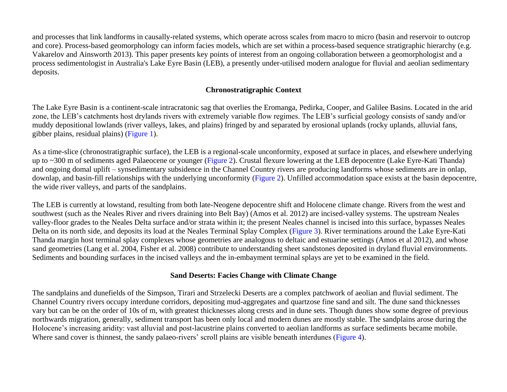and processes that link landforms in causally-related systems, which operate across scales from macro to micro (basin and reservoir to outcrop and core). Process-based geomorphology can inform facies models, which are set within a process-based sequence stratigraphic hierarchy (e.g. Vakarelov and Ainsworth 2013). This paper presents key points of interest from an ongoing collaboration between a geomorphologist and a process sedimentologist in Australia's Lake Eyre Basin (LEB), a presently under-utilised modern analogue for fluvial and aeolian sedimentary deposits.

## **Chronostratigraphic Context**

The Lake Eyre Basin is a continent-scale intracratonic sag that overlies the Eromanga, Pedirka, Cooper, and Galilee Basins. Located in the arid zone, the LEB's catchments host drylands rivers with extremely variable flow regimes. The LEB's surficial geology consists of sandy and/or muddy depositional lowlands (river valleys, lakes, and plains) fringed by and separated by erosional uplands (rocky uplands, alluvial fans, gibber plains, residual plains) [\(Figure 1\)](#page-5-0).

As a time-slice (chronostratigraphic surface), the LEB is a regional-scale unconformity, exposed at surface in places, and elsewhere underlying up to ~300 m of sediments aged Palaeocene or younger [\(Figure 2\)](#page-6-0). Crustal flexure lowering at the LEB depocentre (Lake Eyre-Kati Thanda) and ongoing domal uplift – synsedimentary subsidence in the Channel Country rivers are producing landforms whose sediments are in onlap, downlap, and basin-fill relationships with the underlying unconformity [\(Figure 2](#page-6-0)). Unfilled accommodation space exists at the basin depocentre, the wide river valleys, and parts of the sandplains.

The LEB is currently at lowstand, resulting from both late-Neogene depocentre shift and Holocene climate change. Rivers from the west and southwest (such as the Neales River and rivers draining into Belt Bay) (Amos et al. 2012) are incised-valley systems. The upstream Neales valley-floor grades to the Neales Delta surface and/or strata within it; the present Neales channel is incised into this surface, bypasses Neales Delta on its north side, and deposits its load at the Neales Terminal Splay Complex [\(Figure 3](#page-7-0)). River terminations around the Lake Eyre-Kati Thanda margin host terminal splay complexes whose geometries are analogous to deltaic and estuarine settings (Amos et al 2012), and whose sand geometries (Lang et al. 2004, Fisher et al. 2008) contribute to understanding sheet sandstones deposited in dryland fluvial environments. Sediments and bounding surfaces in the incised valleys and the in-embayment terminal splays are yet to be examined in the field.

## **Sand Deserts: Facies Change with Climate Change**

The sandplains and dunefields of the Simpson, Tirari and Strzelecki Deserts are a complex patchwork of aeolian and fluvial sediment. The Channel Country rivers occupy interdune corridors, depositing mud-aggregates and quartzose fine sand and silt. The dune sand thicknesses vary but can be on the order of 10s of m, with greatest thicknesses along crests and in dune sets. Though dunes show some degree of previous northwards migration, generally, sediment transport has been only local and modern dunes are mostly stable. The sandplains arose during the Holocene's increasing aridity: vast alluvial and post-lacustrine plains converted to aeolian landforms as surface sediments became mobile. Where sand cover is thinnest, the sandy palaeo-rivers' scroll plains are visible beneath interdunes [\(Figure 4\)](#page-8-0).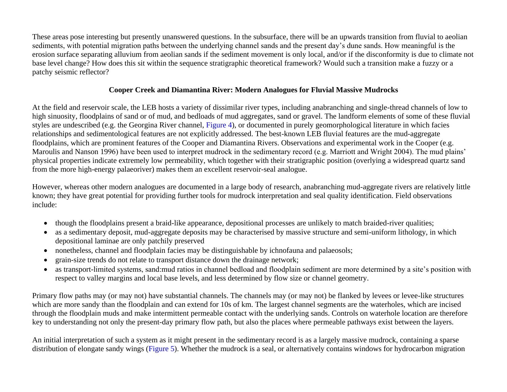These areas pose interesting but presently unanswered questions. In the subsurface, there will be an upwards transition from fluvial to aeolian sediments, with potential migration paths between the underlying channel sands and the present day's dune sands. How meaningful is the erosion surface separating alluvium from aeolian sands if the sediment movement is only local, and/or if the disconformity is due to climate not base level change? How does this sit within the sequence stratigraphic theoretical framework? Would such a transition make a fuzzy or a patchy seismic reflector?

## **Cooper Creek and Diamantina River: Modern Analogues for Fluvial Massive Mudrocks**

At the field and reservoir scale, the LEB hosts a variety of dissimilar river types, including anabranching and single-thread channels of low to high sinuosity, floodplains of sand or of mud, and bedloads of mud aggregates, sand or gravel. The landform elements of some of these fluvial styles are undescribed (e.g. the Georgina River channel, [Figure 4\)](#page-8-0), or documented in purely geomorphological literature in which facies relationships and sedimentological features are not explicitly addressed. The best-known LEB fluvial features are the mud-aggregate floodplains, which are prominent features of the Cooper and Diamantina Rivers. Observations and experimental work in the Cooper (e.g. Maroulis and Nanson 1996) have been used to interpret mudrock in the sedimentary record (e.g. Marriott and Wright 2004). The mud plains' physical properties indicate extremely low permeability, which together with their stratigraphic position (overlying a widespread quartz sand from the more high-energy palaeoriver) makes them an excellent reservoir-seal analogue.

However, whereas other modern analogues are documented in a large body of research, anabranching mud-aggregate rivers are relatively little known; they have great potential for providing further tools for mudrock interpretation and seal quality identification. Field observations include:

- though the floodplains present a braid-like appearance, depositional processes are unlikely to match braided-river qualities;
- as a sedimentary deposit, mud-aggregate deposits may be characterised by massive structure and semi-uniform lithology, in which depositional laminae are only patchily preserved
- nonetheless, channel and floodplain facies may be distinguishable by ichnofauna and palaeosols;
- grain-size trends do not relate to transport distance down the drainage network;
- as transport-limited systems, sand:mud ratios in channel bedload and floodplain sediment are more determined by a site's position with respect to valley margins and local base levels, and less determined by flow size or channel geometry.

Primary flow paths may (or may not) have substantial channels. The channels may (or may not) be flanked by levees or levee-like structures which are more sandy than the floodplain and can extend for 10s of km. The largest channel segments are the waterholes, which are incised through the floodplain muds and make intermittent permeable contact with the underlying sands. Controls on waterhole location are therefore key to understanding not only the present-day primary flow path, but also the places where permeable pathways exist between the layers.

An initial interpretation of such a system as it might present in the sedimentary record is as a largely massive mudrock, containing a sparse distribution of elongate sandy wings [\(Figure 5\)](#page-9-0). Whether the mudrock is a seal, or alternatively contains windows for hydrocarbon migration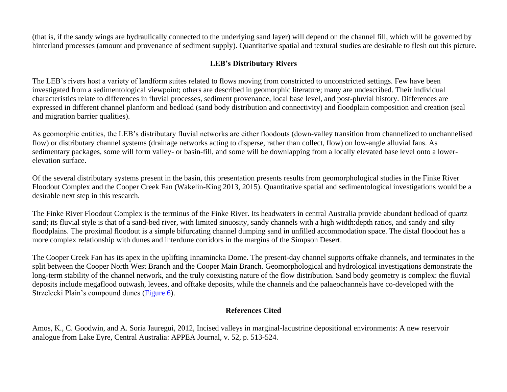(that is, if the sandy wings are hydraulically connected to the underlying sand layer) will depend on the channel fill, which will be governed by hinterland processes (amount and provenance of sediment supply). Quantitative spatial and textural studies are desirable to flesh out this picture.

# **LEB's Distributary Rivers**

The LEB's rivers host a variety of landform suites related to flows moving from constricted to unconstricted settings. Few have been investigated from a sedimentological viewpoint; others are described in geomorphic literature; many are undescribed. Their individual characteristics relate to differences in fluvial processes, sediment provenance, local base level, and post-pluvial history. Differences are expressed in different channel planform and bedload (sand body distribution and connectivity) and floodplain composition and creation (seal and migration barrier qualities).

As geomorphic entities, the LEB's distributary fluvial networks are either floodouts (down-valley transition from channelized to unchannelised flow) or distributary channel systems (drainage networks acting to disperse, rather than collect, flow) on low-angle alluvial fans. As sedimentary packages, some will form valley- or basin-fill, and some will be downlapping from a locally elevated base level onto a lowerelevation surface.

Of the several distributary systems present in the basin, this presentation presents results from geomorphological studies in the Finke River Floodout Complex and the Cooper Creek Fan (Wakelin-King 2013, 2015). Quantitative spatial and sedimentological investigations would be a desirable next step in this research.

The Finke River Floodout Complex is the terminus of the Finke River. Its headwaters in central Australia provide abundant bedload of quartz sand; its fluvial style is that of a sand-bed river, with limited sinuosity, sandy channels with a high width:depth ratios, and sandy and silty floodplains. The proximal floodout is a simple bifurcating channel dumping sand in unfilled accommodation space. The distal floodout has a more complex relationship with dunes and interdune corridors in the margins of the Simpson Desert.

The Cooper Creek Fan has its apex in the uplifting Innamincka Dome. The present-day channel supports offtake channels, and terminates in the split between the Cooper North West Branch and the Cooper Main Branch. Geomorphological and hydrological investigations demonstrate the long-term stability of the channel network, and the truly coexisting nature of the flow distribution. Sand body geometry is complex: the fluvial deposits include megaflood outwash, levees, and offtake deposits, while the channels and the palaeochannels have co-developed with the Strzelecki Plain's compound dunes [\(Figure 6\)](#page-10-0).

## **References Cited**

Amos, K., C. Goodwin, and A. Soria Jauregui, 2012, Incised valleys in marginal-lacustrine depositional environments: A new reservoir analogue from Lake Eyre, Central Australia: APPEA Journal, v. 52, p. 513-524.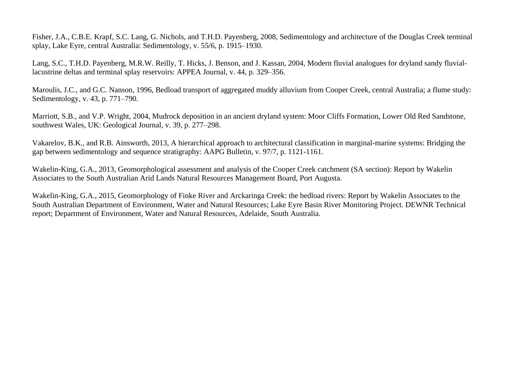Fisher, J.A., C.B.E. Krapf, S.C. Lang, G. Nichols, and T.H.D. Payenberg, 2008, Sedimentology and architecture of the Douglas Creek terminal splay, Lake Eyre, central Australia: Sedimentology, v. 55/6, p. 1915–1930.

Lang, S.C., T.H.D. Payenberg, M.R.W. Reilly, T. Hicks, J. Benson, and J. Kassan, 2004, Modern fluvial analogues for dryland sandy fluviallacustrine deltas and terminal splay reservoirs: APPEA Journal, v. 44, p. 329–356.

Maroulis, J.C., and G.C. Nanson, 1996, Bedload transport of aggregated muddy alluvium from Cooper Creek, central Australia; a flume study: Sedimentology, v. 43, p. 771–790.

Marriott, S.B., and V.P. Wright, 2004, Mudrock deposition in an ancient dryland system: Moor Cliffs Formation, Lower Old Red Sandstone, southwest Wales, UK: Geological Journal, v. 39, p. 277–298.

Vakarelov, B.K., and R.B. Ainsworth, 2013, A hierarchical approach to architectural classification in marginal-marine systems: Bridging the gap between sedimentology and sequence stratigraphy: AAPG Bulletin, v. 97/7, p. 1121-1161.

Wakelin-King, G.A., 2013, Geomorphological assessment and analysis of the Cooper Creek catchment (SA section): Report by Wakelin Associates to the South Australian Arid Lands Natural Resources Management Board, Port Augusta.

Wakelin-King, G.A., 2015, Geomorphology of Finke River and Arckaringa Creek: the bedload rivers: Report by Wakelin Associates to the South Australian Department of Environment, Water and Natural Resources; Lake Eyre Basin River Monitoring Project. DEWNR Technical report; Department of Environment, Water and Natural Resources, Adelaide, South Australia.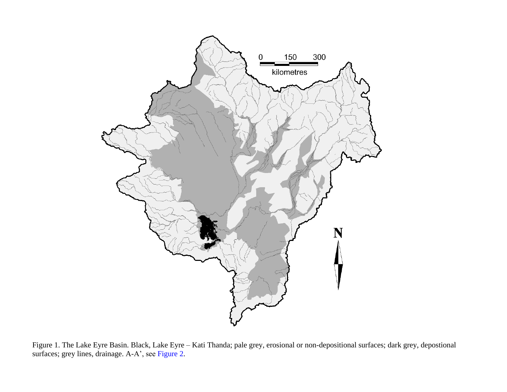<span id="page-5-0"></span>

Figure 1. The Lake Eyre Basin. Black, Lake Eyre – Kati Thanda; pale grey, erosional or non-depositional surfaces; dark grey, depostional surfaces; grey lines, drainage. A-A', see [Figure](#page-6-0) 2.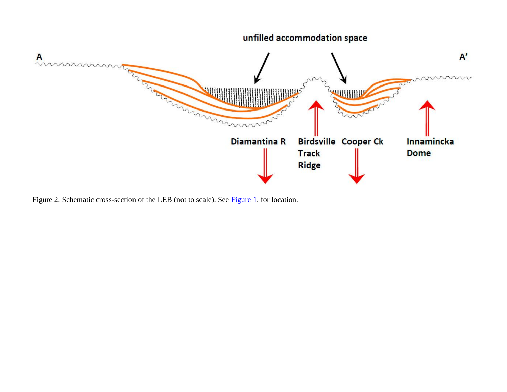<span id="page-6-0"></span>

Figure 2. Schematic cross-section of the LEB (not to scale). See [Figure](#page-5-0) 1. for location.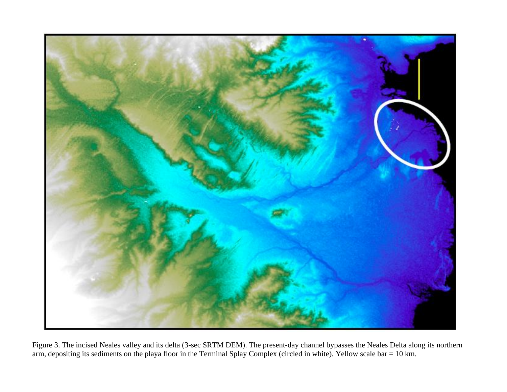<span id="page-7-0"></span>

Figure 3. The incised Neales valley and its delta (3-sec SRTM DEM). The present-day channel bypasses the Neales Delta along its northern arm, depositing its sediments on the playa floor in the Terminal Splay Complex (circled in white). Yellow scale bar = 10 km.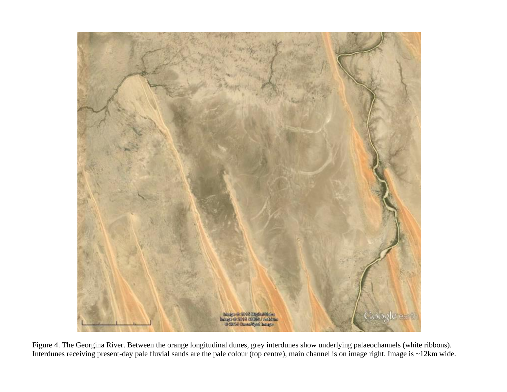<span id="page-8-0"></span>

Figure 4. The Georgina River. Between the orange longitudinal dunes, grey interdunes show underlying palaeochannels (white ribbons). Interdunes receiving present-day pale fluvial sands are the pale colour (top centre), main channel is on image right. Image is ~12km wide.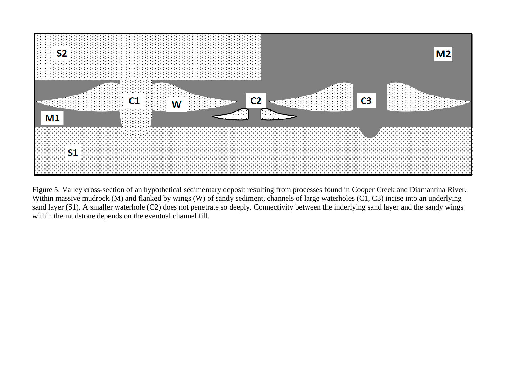<span id="page-9-0"></span>

Figure 5. Valley cross-section of an hypothetical sedimentary deposit resulting from processes found in Cooper Creek and Diamantina River. Within massive mudrock (M) and flanked by wings (W) of sandy sediment, channels of large waterholes (C1, C3) incise into an underlying sand layer (S1). A smaller waterhole (C2) does not penetrate so deeply. Connectivity between the inderlying sand layer and the sandy wings within the mudstone depends on the eventual channel fill.